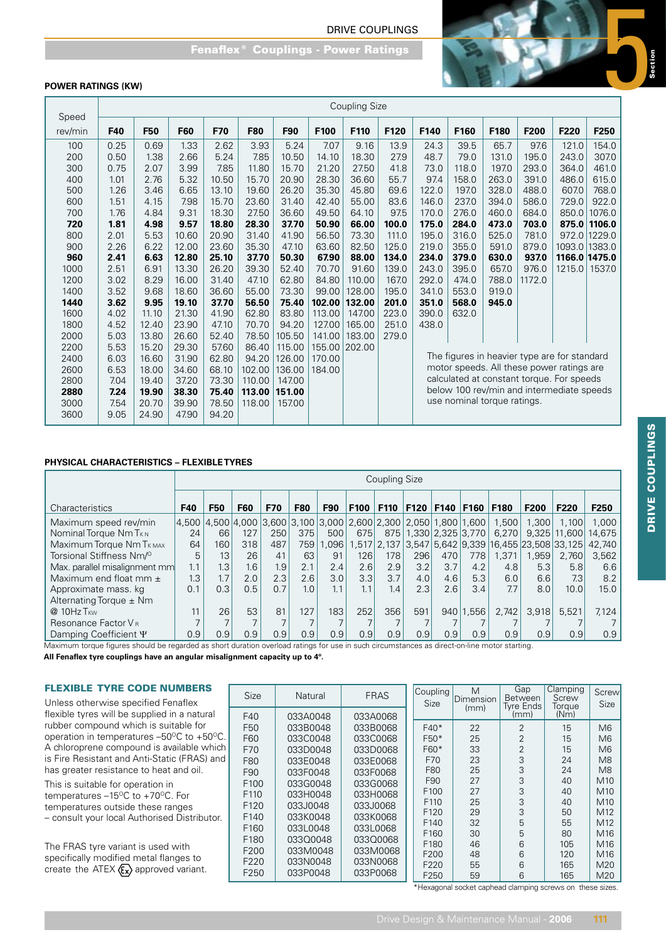

# **POWER RATINGS (KW)**

|         | <b>Coupling Size</b> |            |            |       |            |        |        |               |       |       |                             |       |                                              |       |               |
|---------|----------------------|------------|------------|-------|------------|--------|--------|---------------|-------|-------|-----------------------------|-------|----------------------------------------------|-------|---------------|
| Speed   |                      |            |            |       |            |        |        |               |       |       |                             |       |                                              |       |               |
| rev/min | F40                  | <b>F50</b> | <b>F60</b> | F70   | <b>F80</b> | F90    | F100   | F110          | F120  | F140  | F160                        | F180  | F200                                         | F220  | F250          |
| 100     | 0.25                 | 0.69       | 1.33       | 2.62  | 3.93       | 5.24   | 7.07   | 9.16          | 13.9  | 24.3  | 39.5                        | 65.7  | 97.6                                         | 121.0 | 154.0         |
| 200     | 0.50                 | 1.38       | 2.66       | 5.24  | 7.85       | 10.50  | 14.10  | 18.30         | 27.9  | 48.7  | 79.0                        | 131.0 | 195.0                                        | 243.0 | 307.0         |
| 300     | 0.75                 | 2.07       | 3.99       | 7.85  | 11.80      | 15.70  | 21.20  | 27.50         | 41.8  | 73.0  | 118.0                       | 197.0 | 293.0                                        | 364.0 | 461.0         |
| 400     | 1.01                 | 2.76       | 5.32       | 10.50 | 15.70      | 20.90  | 28.30  | 36.60         | 55.7  | 97.4  | 158.0                       | 263.0 | 391.0                                        | 486.0 | 615.0         |
| 500     | 1.26                 | 3.46       | 6.65       | 13.10 | 19.60      | 26.20  | 35.30  | 45.80         | 69.6  | 122.0 | 197.0                       | 328.0 | 488.0                                        | 607.0 | 768.0         |
| 600     | 1.51                 | 4.15       | 7.98       | 15.70 | 23.60      | 31.40  | 42.40  | 55.00         | 83.6  | 146.0 | 237.0                       | 394.0 | 586.0                                        | 729.0 | 922.0         |
| 700     | 1.76                 | 4.84       | 9.31       | 18.30 | 27.50      | 36.60  | 49.50  | 64.10         | 97.5  | 170.0 | 276.0                       | 460.0 | 684.0                                        | 850.0 | 1076.0        |
| 720     | 1.81                 | 4.98       | 9.57       | 18.80 | 28.30      | 37.70  | 50.90  | 66.00         | 100.0 | 175.0 | 284.0                       | 473.0 | 703.0                                        |       | 875.0 1106.0  |
| 800     | 2.01                 | 5.53       | 10.60      | 20.90 | 31.40      | 41.90  | 56.50  | 73.30         | 111.0 | 195.0 | 316.0                       | 525.0 | 781.0                                        |       | 972.0 1229.0  |
| 900     | 2.26                 | 6.22       | 12.00      | 23.60 | 35.30      | 47.10  | 63.60  | 82.50         | 125.0 | 219.0 | 355.0                       | 591.0 | 879.0                                        |       | 1093.0 1383.0 |
| 960     | 2.41                 | 6.63       | 12.80      | 25.10 | 37.70      | 50.30  | 67.90  | 88.00         | 134.0 | 234.0 | 379.0                       | 630.0 | 937.0                                        |       | 1166.0 1475.0 |
| 1000    | 2.51                 | 6.91       | 13.30      | 26.20 | 39.30      | 52.40  | 70.70  | 91.60         | 139.0 | 243.0 | 395.0                       | 657.0 | 976.0                                        |       | 1215.0 1537.0 |
| 1200    | 3.02                 | 8.29       | 16.00      | 31.40 | 47.10      | 62.80  | 84.80  | 110.00        | 167.0 | 292.0 | 474.0                       | 788.0 | 1172.0                                       |       |               |
| 1400    | 3.52                 | 9.68       | 18.60      | 36.60 | 55.00      | 73.30  | 99.00  | 128.00        | 195.0 | 341.0 | 553.0                       | 919.0 |                                              |       |               |
| 1440    | 3.62                 | 9.95       | 19.10      | 37.70 | 56.50      | 75.40  | 102.00 | 132.00        | 201.0 | 351.0 | 568.0                       | 945.0 |                                              |       |               |
| 1600    | 4.02                 | 11.10      | 21.30      | 41.90 | 62.80      | 83.80  | 113.00 | 147.00        | 223.0 | 390.0 | 632.0                       |       |                                              |       |               |
| 1800    | 4.52                 | 12.40      | 23.90      | 47.10 | 70.70      | 94.20  | 127.00 | 165.00        | 251.0 | 438.0 |                             |       |                                              |       |               |
| 2000    | 5.03                 | 13.80      | 26.60      | 52.40 | 78.50      | 105.50 | 141.00 | 183.00        | 279.0 |       |                             |       |                                              |       |               |
| 2200    | 5.53                 | 15.20      | 29.30      | 57.60 | 86.40      | 115.00 |        | 155.00 202.00 |       |       |                             |       |                                              |       |               |
| 2400    | 6.03                 | 16.60      | 31.90      | 62.80 | 94.20      | 126.00 | 170.00 |               |       |       |                             |       | The figures in heavier type are for standard |       |               |
| 2600    | 6.53                 | 18.00      | 34.60      | 68.10 | 102.00     | 136.00 | 184.00 |               |       |       |                             |       | motor speeds. All these power ratings are    |       |               |
| 2800    | 7.04                 | 19.40      | 37.20      | 73.30 | 110.00     | 147.00 |        |               |       |       |                             |       | calculated at constant torque. For speeds    |       |               |
| 2880    | 7.24                 | 19.90      | 38.30      | 75.40 | 113.00     | 151.00 |        |               |       |       |                             |       | below 100 rev/min and intermediate speeds    |       |               |
| 3000    | 7.54                 | 20.70      | 39.90      | 78.50 | 118.00     | 157.00 |        |               |       |       | use nominal torque ratings. |       |                                              |       |               |
| 3600    | 9.05                 | 24.90      | 47.90      | 94.20 |            |        |        |               |       |       |                             |       |                                              |       |               |

# **PHYSICAL CHARACTERISTICS – FLEXIBLE TYRES**

|                                                                                                                                                                      |     | Coupling Size                                                                           |            |     |            |            |      |                  |                       |             |       |                                                    |       |                  |                  |
|----------------------------------------------------------------------------------------------------------------------------------------------------------------------|-----|-----------------------------------------------------------------------------------------|------------|-----|------------|------------|------|------------------|-----------------------|-------------|-------|----------------------------------------------------|-------|------------------|------------------|
| <b>Characteristics</b>                                                                                                                                               | F40 | <b>F50</b>                                                                              | <b>F60</b> | F70 | <b>F80</b> | <b>F90</b> | F100 | F110             | F120                  | <b>F140</b> | F160  | <b>F180</b>                                        | F200  | F <sub>220</sub> | F <sub>250</sub> |
| Maximum speed rev/min                                                                                                                                                |     | $4,500$ $4,500$ $4,000$ $3,600$ $3,100$ $3,000$ $2,600$ $2,300$ $2,050$ $1,800$ $1,600$ |            |     |            |            |      |                  |                       |             |       | 1,500                                              | 1.300 | 1.100            | 1.000            |
| Nominal Torque Nm T <sub>KN</sub>                                                                                                                                    | 24  | 66                                                                                      | 127        | 250 | 375        | 500        | 675  |                  | 875 1.330 2.325 3.770 |             |       | 6.270                                              | 9.325 | 11,600           | 14.675           |
| Maximum Torque Nm T <sub>KMAX</sub>                                                                                                                                  | 64  | 160                                                                                     | 318        | 487 | 759        | 1,096      |      |                  |                       |             |       | 1,517 2,137 3,547 5,642 9,339 16,455 23,508 33,125 |       |                  | 42.740           |
| Torsional Stiffness Nm/ <sup>o</sup>                                                                                                                                 | 5   | 13                                                                                      | 26         | 41  | 63         | 91         | 126  | 1781             | 296                   | 470         | 778   | 1.371                                              | 1,959 | 2,760            | 3,562            |
| Max. parallel misalignment mm                                                                                                                                        | 1.1 | 1.3 <sub>1</sub>                                                                        | 1.6        | 1.9 | 2.1        | 2.4        | 2.6  | 2.9              | 3.2                   | 3.7         | 4.2   | 4.8                                                | 5.3   | 5.8              | 6.6              |
| Maximum end float mm $\pm$                                                                                                                                           | 1.3 | 1.7                                                                                     | 2.0        | 2.3 | 2.6        | 3.0        | 3.3  | 3.7              | 4.0                   | 4.6         | 5.3   | 6.0                                                | 6.6   | 7.3              | 8.2              |
| Approximate mass. kg                                                                                                                                                 | 0.1 | 0.3                                                                                     | 0.5        | 0.7 | 1.0        | 1.1        | 1.1  | 1.4 <sub>1</sub> | 2.3                   | 2.6         | 3.4   | 7.7                                                | 8.0   | 10.0             | 15.0             |
| Alternating Torque $\pm$ Nm                                                                                                                                          |     |                                                                                         |            |     |            |            |      |                  |                       |             |       |                                                    |       |                  |                  |
| $@10Hz$ T <sub>KW</sub>                                                                                                                                              | 11  | 26 <sub>1</sub>                                                                         | 53         | 81  | 127        | 183        | 252  | 356              | 591                   | 940         | 1.556 | 2.742                                              | 3.918 | 5.521            | 7.124            |
| Resonance Factor V <sub>B</sub>                                                                                                                                      |     |                                                                                         |            |     |            |            |      |                  |                       |             |       |                                                    |       |                  |                  |
| Damping Coefficient Y<br>Movimum torque figures abould be regarded as about duration overload ratings for use in quab eiroumateness es direct on line motor starting | 0.9 | 0.9                                                                                     | 0.9        | 0.9 | 0.9        | 0.9        | 0.9  | 0.9              | 0.9                   | 0.9         | 0.9   | 0.9                                                | 0.9   | 0.9              | 0.9              |

Maximum torque figures should be regarded as short duration overload ratings for use in such circumstances as direct-on-line motor starting.

**All Fenaflex tyre couplings have an angular misalignment capacity up to 4º.**

 $\blacksquare$ 

### FLEXIBLE TYRE CODE NUMBERS

| <b>FLEXIBLE TYRE CODE NUMBERS</b>                             | Size             | Natural  | <b>FRAS</b> | Coupling         | M<br>Dimension | Gap<br>Between   | Clamping<br>Screw | Screw           |
|---------------------------------------------------------------|------------------|----------|-------------|------------------|----------------|------------------|-------------------|-----------------|
| Unless otherwise specified Fenaflex                           |                  |          |             | <b>Size</b>      | (mm)           | <b>Tyre Ends</b> | Toraue            | Size            |
| flexible tyres will be supplied in a natural                  | F40              | 033A0048 | 033A0068    |                  |                | (mm)             | (Nm)              |                 |
| rubber compound which is suitable for                         | F <sub>50</sub>  | 033B0048 | 033B0068    | $F40*$           | 22             | $\mathcal{P}$    | 15                | M6              |
| operation in temperatures $-50^{\circ}$ C to $+50^{\circ}$ C. | F60              | 033C0048 | 033C0068    | $F50*$           | 25             |                  | 15                | M6              |
| A chloroprene compound is available which                     | F70              | 033D0048 | 033D0068    | $F60*$           | 33             | $\overline{2}$   | 15                | M6              |
| is Fire Resistant and Anti-Static (FRAS) and                  | F80              | 033E0048 | 033E0068    | F70              | 23             | 3                | 24                | M8              |
| has greater resistance to heat and oil.                       | F90              | 033F0048 | 033F0068    | F80              | 25             | 3                | 24                | M8              |
| This is suitable for operation in                             | F <sub>100</sub> | 033G0048 | 033G0068    | F90              | 27             | 3                | 40                | M <sub>10</sub> |
| temperatures $-15^{\circ}$ C to $+70^{\circ}$ C. For          | F <sub>110</sub> | 033H0048 | 033H0068    | F <sub>100</sub> | 27             | 3                | 40                | M <sub>10</sub> |
| temperatures outside these ranges                             | F <sub>120</sub> | 033J0048 | 033J0068    | F <sub>110</sub> | 25             | 3                | 40                | M10             |
| - consult your local Authorised Distributor.                  | F <sub>140</sub> | 033K0048 | 033K0068    | F120             | 29             | 3                | 50                | M <sub>12</sub> |
|                                                               | F <sub>160</sub> | 033L0048 | 033L0068    | F140             | 32             | 5                | 55                | M <sub>12</sub> |
|                                                               | F <sub>180</sub> | 03300048 | 033Q0068    | F160             | 30             | 5                | 80                | M <sub>16</sub> |
| The FRAS tyre variant is used with                            | F <sub>200</sub> | 033M0048 | 033M0068    | F180             | 46             | 6                | 105               | M <sub>16</sub> |
| specifically modified metal flanges to                        |                  |          |             | F200             | 48             | 6                | 120               | M <sub>16</sub> |
| create the ATEX $\langle \xi_x \rangle$ approved variant.     | F <sub>220</sub> | 033N0048 | 033N0068    | F220             | 55             | 6                | 165               | M <sub>20</sub> |
|                                                               | F <sub>250</sub> | 033P0048 | 033P0068    | F <sub>250</sub> | 59             | 6                | 165               | M20             |
|                                                               |                  |          |             |                  |                |                  |                   |                 |

\*Hexagonal socket caphead clamping screws on these sizes.